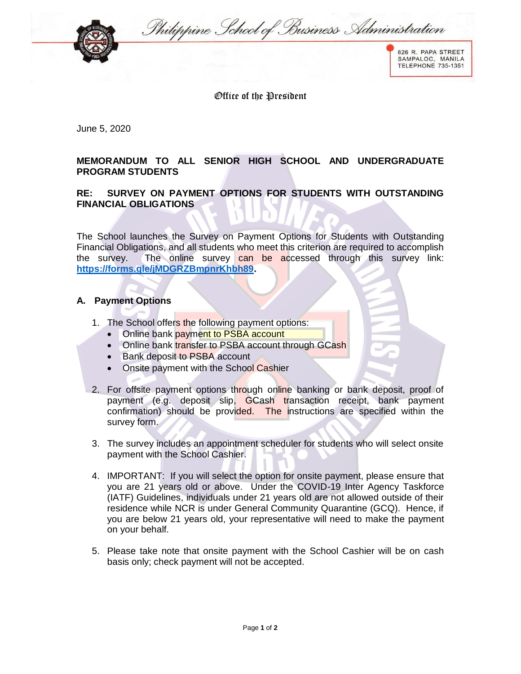Philippine School of Business Administration



826 R. PAPA STREET SAMPALOC, MANILA<br>TELEPHONE 735-1351

Office of the President

June 5, 2020

## **MEMORANDUM TO ALL SENIOR HIGH SCHOOL AND UNDERGRADUATE PROGRAM STUDENTS**

## **RE: SURVEY ON PAYMENT OPTIONS FOR STUDENTS WITH OUTSTANDING FINANCIAL OBLIGATIONS**

The School launches the Survey on Payment Options for Students with Outstanding Financial Obligations, and all students who meet this criterion are required to accomplish the survey. The online survey can be accessed through this survey link: **[https://forms.gle/jMDGRZBmpnrKhbh89.](https://forms.gle/jMDGRZBmpnrKhbh89)**

## **A. Payment Options**

- 1. The School offers the following payment options:
	- Online bank payment to PSBA account
	- Online bank transfer to PSBA account through GCash
	- Bank deposit to PSBA account
	- Onsite payment with the School Cashier
- 2. For offsite payment options through online banking or bank deposit, proof of payment (e.g. deposit slip, GCash transaction receipt, bank payment confirmation) should be provided. The instructions are specified within the survey form.
- 3. The survey includes an appointment scheduler for students who will select onsite payment with the School Cashier.
- 4. IMPORTANT: If you will select the option for onsite payment, please ensure that you are 21 years old or above. Under the COVID-19 Inter Agency Taskforce (IATF) Guidelines, individuals under 21 years old are not allowed outside of their residence while NCR is under General Community Quarantine (GCQ). Hence, if you are below 21 years old, your representative will need to make the payment on your behalf.
- 5. Please take note that onsite payment with the School Cashier will be on cash basis only; check payment will not be accepted.